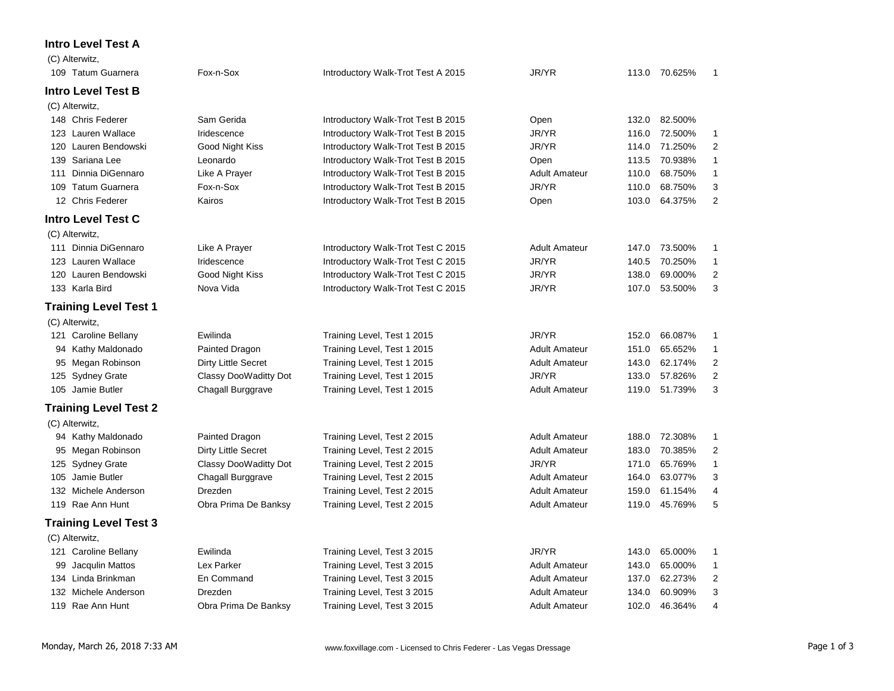## **Intro Level Test A**

|     | (C) Alterwitz,               |                       |                                    |                      |       |               |                |
|-----|------------------------------|-----------------------|------------------------------------|----------------------|-------|---------------|----------------|
|     | 109 Tatum Guarnera           | Fox-n-Sox             | Introductory Walk-Trot Test A 2015 | JR/YR                |       | 113.0 70.625% | 1              |
|     | <b>Intro Level Test B</b>    |                       |                                    |                      |       |               |                |
|     | (C) Alterwitz,               |                       |                                    |                      |       |               |                |
|     | 148 Chris Federer            | Sam Gerida            | Introductory Walk-Trot Test B 2015 | Open                 | 132.0 | 82.500%       |                |
|     | 123 Lauren Wallace           | Iridescence           | Introductory Walk-Trot Test B 2015 | JR/YR                | 116.0 | 72.500%       | $\mathbf{1}$   |
|     | 120 Lauren Bendowski         | Good Night Kiss       | Introductory Walk-Trot Test B 2015 | JR/YR                | 114.0 | 71.250%       | 2              |
|     | 139 Sariana Lee              | Leonardo              | Introductory Walk-Trot Test B 2015 | Open                 | 113.5 | 70.938%       | $\mathbf{1}$   |
| 111 | Dinnia DiGennaro             | Like A Prayer         | Introductory Walk-Trot Test B 2015 | <b>Adult Amateur</b> | 110.0 | 68.750%       | $\mathbf{1}$   |
| 109 | <b>Tatum Guarnera</b>        | Fox-n-Sox             | Introductory Walk-Trot Test B 2015 | JR/YR                | 110.0 | 68.750%       | 3              |
|     | 12 Chris Federer             | Kairos                | Introductory Walk-Trot Test B 2015 | Open                 | 103.0 | 64.375%       | $\overline{2}$ |
|     | <b>Intro Level Test C</b>    |                       |                                    |                      |       |               |                |
|     | (C) Alterwitz,               |                       |                                    |                      |       |               |                |
|     | 111 Dinnia DiGennaro         | Like A Prayer         | Introductory Walk-Trot Test C 2015 | <b>Adult Amateur</b> | 147.0 | 73.500%       | 1              |
|     | 123 Lauren Wallace           | Iridescence           | Introductory Walk-Trot Test C 2015 | JR/YR                | 140.5 | 70.250%       | $\mathbf{1}$   |
|     | 120 Lauren Bendowski         | Good Night Kiss       | Introductory Walk-Trot Test C 2015 | JR/YR                | 138.0 | 69.000%       | $\overline{c}$ |
|     | 133 Karla Bird               | Nova Vida             | Introductory Walk-Trot Test C 2015 | JR/YR                | 107.0 | 53.500%       | 3              |
|     | <b>Training Level Test 1</b> |                       |                                    |                      |       |               |                |
|     | (C) Alterwitz,               |                       |                                    |                      |       |               |                |
|     | 121 Caroline Bellany         | Ewilinda              | Training Level, Test 1 2015        | JR/YR                | 152.0 | 66.087%       | 1              |
|     | 94 Kathy Maldonado           | Painted Dragon        | Training Level, Test 1 2015        | <b>Adult Amateur</b> | 151.0 | 65.652%       | $\mathbf{1}$   |
|     | 95 Megan Robinson            | Dirty Little Secret   | Training Level, Test 1 2015        | <b>Adult Amateur</b> | 143.0 | 62.174%       | 2              |
|     | 125 Sydney Grate             | Classy DooWaditty Dot | Training Level, Test 1 2015        | JR/YR                | 133.0 | 57.826%       | $\overline{2}$ |
|     | 105 Jamie Butler             | Chagall Burggrave     | Training Level, Test 1 2015        | <b>Adult Amateur</b> | 119.0 | 51.739%       | 3              |
|     | <b>Training Level Test 2</b> |                       |                                    |                      |       |               |                |
|     | (C) Alterwitz,               |                       |                                    |                      |       |               |                |
|     | 94 Kathy Maldonado           | Painted Dragon        | Training Level, Test 2 2015        | <b>Adult Amateur</b> | 188.0 | 72.308%       | $\mathbf{1}$   |
|     | 95 Megan Robinson            | Dirty Little Secret   | Training Level, Test 2 2015        | <b>Adult Amateur</b> | 183.0 | 70.385%       | $\overline{c}$ |
|     | 125 Sydney Grate             | Classy DooWaditty Dot | Training Level, Test 2 2015        | JR/YR                | 171.0 | 65.769%       | $\mathbf{1}$   |
| 105 | Jamie Butler                 | Chagall Burggrave     | Training Level, Test 2 2015        | <b>Adult Amateur</b> | 164.0 | 63.077%       | 3              |
|     | 132 Michele Anderson         | Drezden               | Training Level, Test 2 2015        | <b>Adult Amateur</b> | 159.0 | 61.154%       | 4              |
|     | 119 Rae Ann Hunt             | Obra Prima De Banksy  | Training Level, Test 2 2015        | <b>Adult Amateur</b> | 119.0 | 45.769%       | 5              |
|     | <b>Training Level Test 3</b> |                       |                                    |                      |       |               |                |
|     | (C) Alterwitz,               |                       |                                    |                      |       |               |                |
|     | 121 Caroline Bellany         | Ewilinda              | Training Level, Test 3 2015        | JR/YR                | 143.0 | 65.000%       | $\mathbf{1}$   |
| 99  | Jacqulin Mattos              | Lex Parker            | Training Level, Test 3 2015        | <b>Adult Amateur</b> | 143.0 | 65.000%       | 1              |
|     | 134 Linda Brinkman           | En Command            | Training Level, Test 3 2015        | <b>Adult Amateur</b> | 137.0 | 62.273%       | $\overline{c}$ |
|     | 132 Michele Anderson         | Drezden               | Training Level, Test 3 2015        | <b>Adult Amateur</b> | 134.0 | 60.909%       | 3              |
|     | 119 Rae Ann Hunt             | Obra Prima De Banksy  | Training Level, Test 3 2015        | <b>Adult Amateur</b> | 102.0 | 46.364%       | 4              |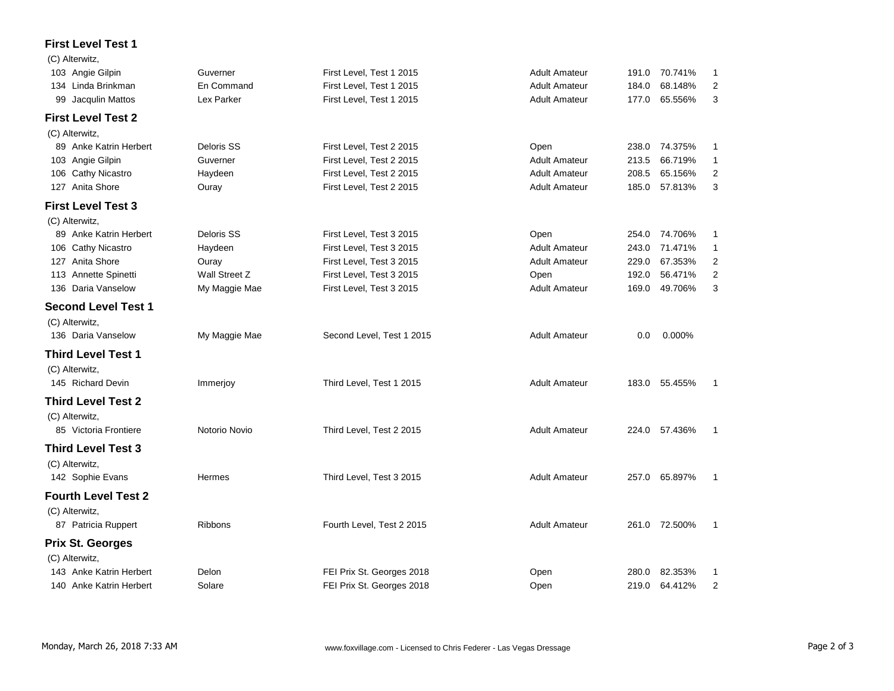## **First Level Test 1**

| (C) Alterwitz,             |                |                           |                      |       |               |                |
|----------------------------|----------------|---------------------------|----------------------|-------|---------------|----------------|
| 103 Angie Gilpin           | Guverner       | First Level, Test 1 2015  | <b>Adult Amateur</b> | 191.0 | 70.741%       | 1              |
| 134 Linda Brinkman         | En Command     | First Level, Test 1 2015  | <b>Adult Amateur</b> | 184.0 | 68.148%       | $\overline{2}$ |
| Jacqulin Mattos<br>99      | Lex Parker     | First Level, Test 1 2015  | <b>Adult Amateur</b> | 177.0 | 65.556%       | 3              |
| <b>First Level Test 2</b>  |                |                           |                      |       |               |                |
| (C) Alterwitz,             |                |                           |                      |       |               |                |
| 89 Anke Katrin Herbert     | Deloris SS     | First Level, Test 2 2015  | Open                 | 238.0 | 74.375%       | 1              |
| 103 Angie Gilpin           | Guverner       | First Level, Test 2 2015  | <b>Adult Amateur</b> | 213.5 | 66.719%       | $\mathbf{1}$   |
| 106 Cathy Nicastro         | Haydeen        | First Level, Test 2 2015  | <b>Adult Amateur</b> | 208.5 | 65.156%       | 2              |
| 127 Anita Shore            | Ouray          | First Level, Test 2 2015  | <b>Adult Amateur</b> | 185.0 | 57.813%       | 3              |
| <b>First Level Test 3</b>  |                |                           |                      |       |               |                |
| (C) Alterwitz,             |                |                           |                      |       |               |                |
| 89 Anke Katrin Herbert     | Deloris SS     | First Level, Test 3 2015  | Open                 | 254.0 | 74.706%       | 1              |
| 106 Cathy Nicastro         | Haydeen        | First Level, Test 3 2015  | <b>Adult Amateur</b> | 243.0 | 71.471%       | $\mathbf{1}$   |
| 127 Anita Shore            | Ouray          | First Level, Test 3 2015  | <b>Adult Amateur</b> | 229.0 | 67.353%       | $\overline{2}$ |
| 113 Annette Spinetti       | Wall Street Z  | First Level, Test 3 2015  | Open                 | 192.0 | 56.471%       | $\overline{2}$ |
| 136 Daria Vanselow         | My Maggie Mae  | First Level, Test 3 2015  | <b>Adult Amateur</b> | 169.0 | 49.706%       | 3              |
| <b>Second Level Test 1</b> |                |                           |                      |       |               |                |
| (C) Alterwitz,             |                |                           |                      |       |               |                |
| 136 Daria Vanselow         | My Maggie Mae  | Second Level, Test 1 2015 | <b>Adult Amateur</b> | 0.0   | 0.000%        |                |
| <b>Third Level Test 1</b>  |                |                           |                      |       |               |                |
| (C) Alterwitz,             |                |                           |                      |       |               |                |
| 145 Richard Devin          | Immerjoy       | Third Level, Test 1 2015  | <b>Adult Amateur</b> | 183.0 | 55.455%       | 1              |
|                            |                |                           |                      |       |               |                |
| <b>Third Level Test 2</b>  |                |                           |                      |       |               |                |
| (C) Alterwitz,             |                |                           |                      |       |               |                |
| 85 Victoria Frontiere      | Notorio Novio  | Third Level, Test 2 2015  | <b>Adult Amateur</b> | 224.0 | 57.436%       | 1              |
| <b>Third Level Test 3</b>  |                |                           |                      |       |               |                |
| (C) Alterwitz,             |                |                           |                      |       |               |                |
| 142 Sophie Evans           | Hermes         | Third Level, Test 3 2015  | <b>Adult Amateur</b> | 257.0 | 65.897%       | 1              |
| <b>Fourth Level Test 2</b> |                |                           |                      |       |               |                |
| (C) Alterwitz,             |                |                           |                      |       |               |                |
| 87 Patricia Ruppert        | <b>Ribbons</b> | Fourth Level, Test 2 2015 | <b>Adult Amateur</b> |       | 261.0 72.500% | 1              |
| <b>Prix St. Georges</b>    |                |                           |                      |       |               |                |
| (C) Alterwitz,             |                |                           |                      |       |               |                |
| 143 Anke Katrin Herbert    | Delon          | FEI Prix St. Georges 2018 | Open                 | 280.0 | 82.353%       | 1              |
| 140 Anke Katrin Herbert    | Solare         | FEI Prix St. Georges 2018 | Open                 | 219.0 | 64.412%       | $\overline{2}$ |
|                            |                |                           |                      |       |               |                |